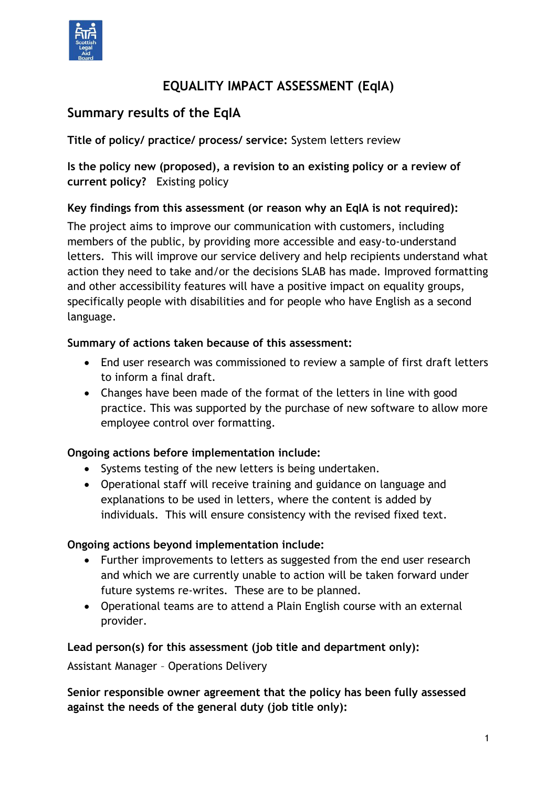

# **EQUALITY IMPACT ASSESSMENT (EqIA)**

# **Summary results of the EqIA**

**Title of policy/ practice/ process/ service:** System letters review

**Is the policy new (proposed), a revision to an existing policy or a review of current policy?** Existing policy

### **Key findings from this assessment (or reason why an EqIA is not required):**

The project aims to improve our communication with customers, including members of the public, by providing more accessible and easy-to-understand letters. This will improve our service delivery and help recipients understand what action they need to take and/or the decisions SLAB has made. Improved formatting and other accessibility features will have a positive impact on equality groups, specifically people with disabilities and for people who have English as a second language.

### **Summary of actions taken because of this assessment:**

- End user research was commissioned to review a sample of first draft letters to inform a final draft.
- Changes have been made of the format of the letters in line with good practice. This was supported by the purchase of new software to allow more employee control over formatting.

### **Ongoing actions before implementation include:**

- Systems testing of the new letters is being undertaken.
- Operational staff will receive training and guidance on language and explanations to be used in letters, where the content is added by individuals. This will ensure consistency with the revised fixed text.

### **Ongoing actions beyond implementation include:**

- Further improvements to letters as suggested from the end user research and which we are currently unable to action will be taken forward under future systems re-writes. These are to be planned.
- Operational teams are to attend a Plain English course with an external provider.

### **Lead person(s) for this assessment (job title and department only):**

Assistant Manager – Operations Delivery

**Senior responsible owner agreement that the policy has been fully assessed against the needs of the general duty (job title only):**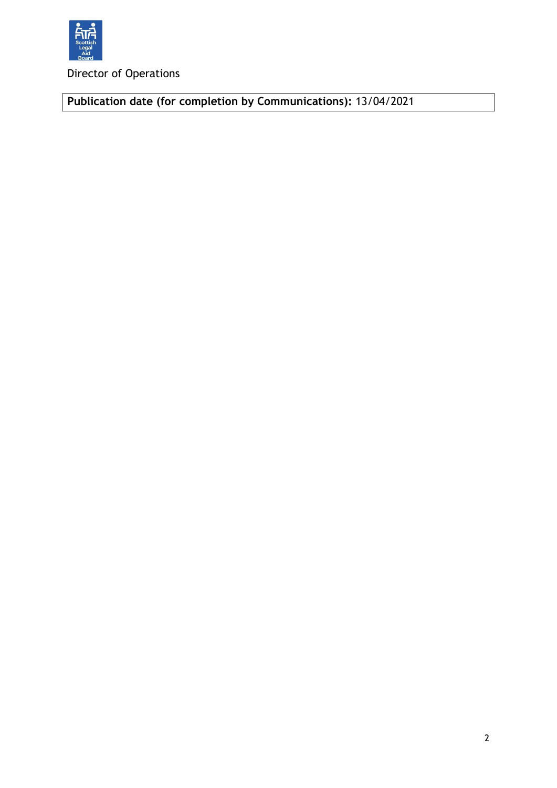

Director of Operations

**Publication date (for completion by Communications):** 13/04/2021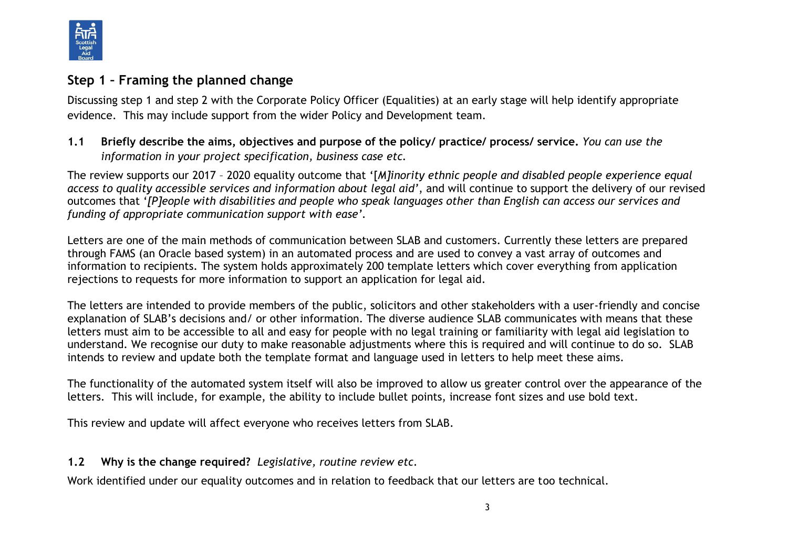

## **Step 1 – Framing the planned change**

Discussing step 1 and step 2 with the Corporate Policy Officer (Equalities) at an early stage will help identify appropriate evidence. This may include support from the wider Policy and Development team.

### **1.1 Briefly describe the aims, objectives and purpose of the policy/ practice/ process/ service.** *You can use the information in your project specification, business case etc.*

The review supports our 2017 – 2020 equality outcome that '[*M]inority ethnic people and disabled people experience equal access to quality accessible services and information about legal aid'*, and will continue to support the delivery of our revised outcomes that '*[P]eople with disabilities and people who speak languages other than English can access our services and funding of appropriate communication support with ease'.*

Letters are one of the main methods of communication between SLAB and customers. Currently these letters are prepared through FAMS (an Oracle based system) in an automated process and are used to convey a vast array of outcomes and information to recipients. The system holds approximately 200 template letters which cover everything from application rejections to requests for more information to support an application for legal aid.

The letters are intended to provide members of the public, solicitors and other stakeholders with a user-friendly and concise explanation of SLAB's decisions and/ or other information. The diverse audience SLAB communicates with means that these letters must aim to be accessible to all and easy for people with no legal training or familiarity with legal aid legislation to understand. We recognise our duty to make reasonable adjustments where this is required and will continue to do so. SLAB intends to review and update both the template format and language used in letters to help meet these aims.

The functionality of the automated system itself will also be improved to allow us greater control over the appearance of the letters. This will include, for example, the ability to include bullet points, increase font sizes and use bold text.

This review and update will affect everyone who receives letters from SLAB.

### **1.2 Why is the change required?** *Legislative, routine review etc.*

Work identified under our equality outcomes and in relation to feedback that our letters are too technical.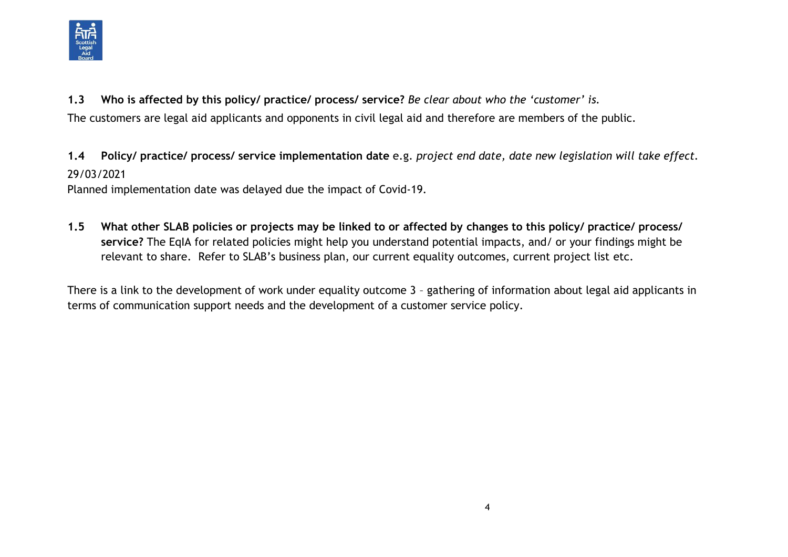

**1.3 Who is affected by this policy/ practice/ process/ service?** *Be clear about who the 'customer' is.*

The customers are legal aid applicants and opponents in civil legal aid and therefore are members of the public.

**1.4 Policy/ practice/ process/ service implementation date** e.g. *project end date, date new legislation will take effect.* 29/03/2021

Planned implementation date was delayed due the impact of Covid-19.

**1.5 What other SLAB policies or projects may be linked to or affected by changes to this policy/ practice/ process/ service?** The EqIA for related policies might help you understand potential impacts, and/ or your findings might be relevant to share. Refer to SLAB's business plan, our current equality outcomes, current project list etc.

There is a link to the development of work under equality outcome 3 – gathering of information about legal aid applicants in terms of communication support needs and the development of a customer service policy.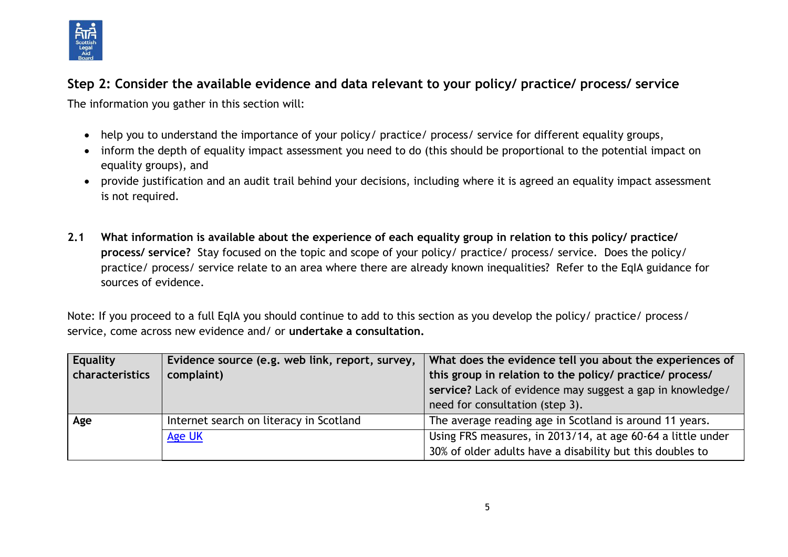

# **Step 2: Consider the available evidence and data relevant to your policy/ practice/ process/ service**

The information you gather in this section will:

- help you to understand the importance of your policy/ practice/ process/ service for different equality groups,
- inform the depth of equality impact assessment you need to do (this should be proportional to the potential impact on equality groups), and
- provide justification and an audit trail behind your decisions, including where it is agreed an equality impact assessment is not required.
- **2.1 What information is available about the experience of each equality group in relation to this policy/ practice/ process/ service?** Stay focused on the topic and scope of your policy/ practice/ process/ service. Does the policy/ practice/ process/ service relate to an area where there are already known inequalities? Refer to the EqIA guidance for sources of evidence.

Note: If you proceed to a full EqIA you should continue to add to this section as you develop the policy/ practice/ process/ service, come across new evidence and/ or **undertake a consultation.**

| <b>Equality</b> | Evidence source (e.g. web link, report, survey, | What does the evidence tell you about the experiences of    |
|-----------------|-------------------------------------------------|-------------------------------------------------------------|
| characteristics | complaint)                                      | this group in relation to the policy/ practice/ process/    |
|                 |                                                 | service? Lack of evidence may suggest a gap in knowledge/   |
|                 |                                                 | need for consultation (step 3).                             |
| Age             | Internet search on literacy in Scotland         | The average reading age in Scotland is around 11 years.     |
|                 | Age UK                                          | Using FRS measures, in 2013/14, at age 60-64 a little under |
|                 |                                                 | 30% of older adults have a disability but this doubles to   |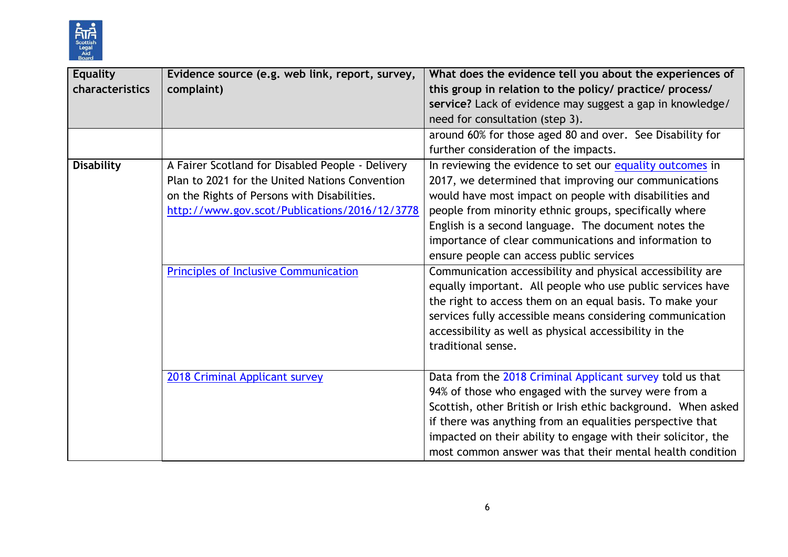

| <b>Equality</b><br>characteristics | Evidence source (e.g. web link, report, survey,<br>complaint)                                                                                                                                                                                      | What does the evidence tell you about the experiences of<br>this group in relation to the policy/ practice/ process/<br>service? Lack of evidence may suggest a gap in knowledge/<br>need for consultation (step 3).                                                                                                                                                                                                                                                                                                                                                                                                                                                                                                                     |
|------------------------------------|----------------------------------------------------------------------------------------------------------------------------------------------------------------------------------------------------------------------------------------------------|------------------------------------------------------------------------------------------------------------------------------------------------------------------------------------------------------------------------------------------------------------------------------------------------------------------------------------------------------------------------------------------------------------------------------------------------------------------------------------------------------------------------------------------------------------------------------------------------------------------------------------------------------------------------------------------------------------------------------------------|
|                                    |                                                                                                                                                                                                                                                    | around 60% for those aged 80 and over. See Disability for<br>further consideration of the impacts.                                                                                                                                                                                                                                                                                                                                                                                                                                                                                                                                                                                                                                       |
| <b>Disability</b>                  | A Fairer Scotland for Disabled People - Delivery<br>Plan to 2021 for the United Nations Convention<br>on the Rights of Persons with Disabilities.<br>http://www.gov.scot/Publications/2016/12/3778<br><b>Principles of Inclusive Communication</b> | In reviewing the evidence to set our equality outcomes in<br>2017, we determined that improving our communications<br>would have most impact on people with disabilities and<br>people from minority ethnic groups, specifically where<br>English is a second language. The document notes the<br>importance of clear communications and information to<br>ensure people can access public services<br>Communication accessibility and physical accessibility are<br>equally important. All people who use public services have<br>the right to access them on an equal basis. To make your<br>services fully accessible means considering communication<br>accessibility as well as physical accessibility in the<br>traditional sense. |
|                                    | 2018 Criminal Applicant survey                                                                                                                                                                                                                     | Data from the 2018 Criminal Applicant survey told us that<br>94% of those who engaged with the survey were from a<br>Scottish, other British or Irish ethic background. When asked<br>if there was anything from an equalities perspective that<br>impacted on their ability to engage with their solicitor, the<br>most common answer was that their mental health condition                                                                                                                                                                                                                                                                                                                                                            |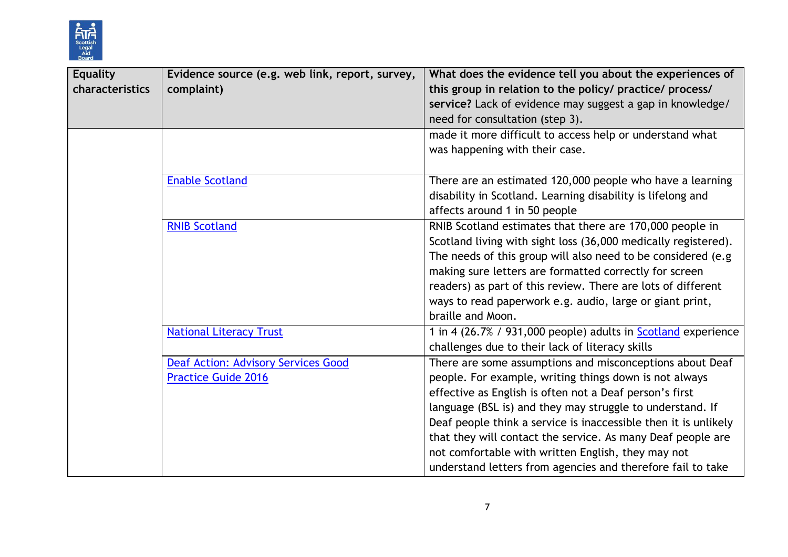

| <b>Equality</b> | Evidence source (e.g. web link, report, survey, | What does the evidence tell you about the experiences of             |
|-----------------|-------------------------------------------------|----------------------------------------------------------------------|
| characteristics | complaint)                                      | this group in relation to the policy/ practice/ process/             |
|                 |                                                 | service? Lack of evidence may suggest a gap in knowledge/            |
|                 |                                                 | need for consultation (step 3).                                      |
|                 |                                                 | made it more difficult to access help or understand what             |
|                 |                                                 | was happening with their case.                                       |
|                 |                                                 |                                                                      |
|                 | <b>Enable Scotland</b>                          | There are an estimated 120,000 people who have a learning            |
|                 |                                                 | disability in Scotland. Learning disability is lifelong and          |
|                 |                                                 | affects around 1 in 50 people                                        |
|                 | <b>RNIB Scotland</b>                            | RNIB Scotland estimates that there are 170,000 people in             |
|                 |                                                 | Scotland living with sight loss (36,000 medically registered).       |
|                 |                                                 | The needs of this group will also need to be considered (e.g         |
|                 |                                                 | making sure letters are formatted correctly for screen               |
|                 |                                                 | readers) as part of this review. There are lots of different         |
|                 |                                                 | ways to read paperwork e.g. audio, large or giant print,             |
|                 |                                                 | braille and Moon.                                                    |
|                 | <b>National Literacy Trust</b>                  | 1 in 4 (26.7% / 931,000 people) adults in <b>Scotland</b> experience |
|                 |                                                 | challenges due to their lack of literacy skills                      |
|                 | <b>Deaf Action: Advisory Services Good</b>      | There are some assumptions and misconceptions about Deaf             |
|                 | <b>Practice Guide 2016</b>                      | people. For example, writing things down is not always               |
|                 |                                                 | effective as English is often not a Deaf person's first              |
|                 |                                                 | language (BSL is) and they may struggle to understand. If            |
|                 |                                                 | Deaf people think a service is inaccessible then it is unlikely      |
|                 |                                                 | that they will contact the service. As many Deaf people are          |
|                 |                                                 | not comfortable with written English, they may not                   |
|                 |                                                 | understand letters from agencies and therefore fail to take          |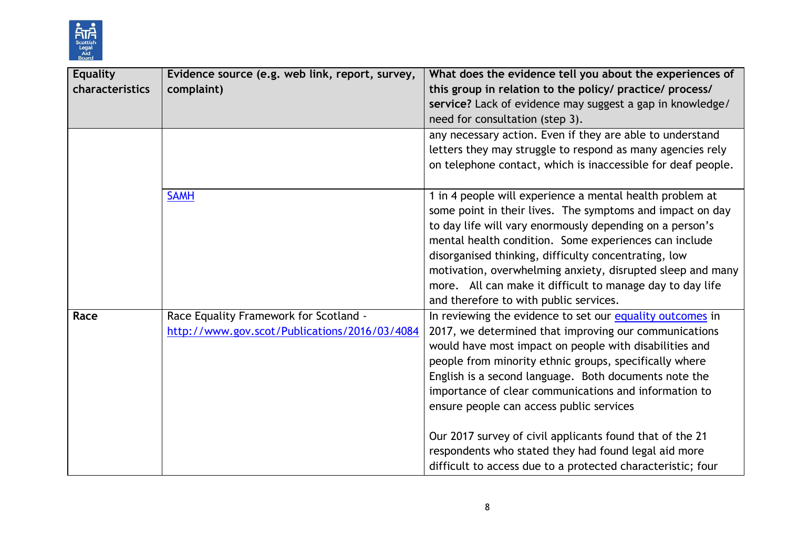

| <b>Equality</b> | Evidence source (e.g. web link, report, survey, | What does the evidence tell you about the experiences of     |
|-----------------|-------------------------------------------------|--------------------------------------------------------------|
| characteristics | complaint)                                      | this group in relation to the policy/ practice/ process/     |
|                 |                                                 | service? Lack of evidence may suggest a gap in knowledge/    |
|                 |                                                 | need for consultation (step 3).                              |
|                 |                                                 | any necessary action. Even if they are able to understand    |
|                 |                                                 | letters they may struggle to respond as many agencies rely   |
|                 |                                                 | on telephone contact, which is inaccessible for deaf people. |
|                 | <b>SAMH</b>                                     | 1 in 4 people will experience a mental health problem at     |
|                 |                                                 | some point in their lives. The symptoms and impact on day    |
|                 |                                                 | to day life will vary enormously depending on a person's     |
|                 |                                                 | mental health condition. Some experiences can include        |
|                 |                                                 | disorganised thinking, difficulty concentrating, low         |
|                 |                                                 | motivation, overwhelming anxiety, disrupted sleep and many   |
|                 |                                                 | more. All can make it difficult to manage day to day life    |
|                 |                                                 | and therefore to with public services.                       |
| Race            | Race Equality Framework for Scotland -          | In reviewing the evidence to set our equality outcomes in    |
|                 | http://www.gov.scot/Publications/2016/03/4084   | 2017, we determined that improving our communications        |
|                 |                                                 | would have most impact on people with disabilities and       |
|                 |                                                 | people from minority ethnic groups, specifically where       |
|                 |                                                 | English is a second language. Both documents note the        |
|                 |                                                 | importance of clear communications and information to        |
|                 |                                                 | ensure people can access public services                     |
|                 |                                                 | Our 2017 survey of civil applicants found that of the 21     |
|                 |                                                 | respondents who stated they had found legal aid more         |
|                 |                                                 | difficult to access due to a protected characteristic; four  |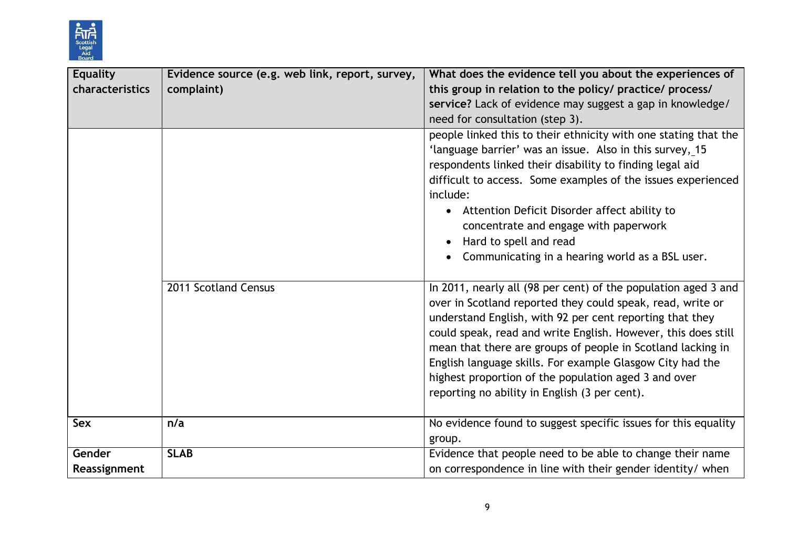

| <b>Equality</b> | Evidence source (e.g. web link, report, survey, | What does the evidence tell you about the experiences of        |
|-----------------|-------------------------------------------------|-----------------------------------------------------------------|
| characteristics | complaint)                                      | this group in relation to the policy/ practice/ process/        |
|                 |                                                 | service? Lack of evidence may suggest a gap in knowledge/       |
|                 |                                                 | need for consultation (step 3).                                 |
|                 |                                                 | people linked this to their ethnicity with one stating that the |
|                 |                                                 | 'language barrier' was an issue. Also in this survey, 15        |
|                 |                                                 | respondents linked their disability to finding legal aid        |
|                 |                                                 | difficult to access. Some examples of the issues experienced    |
|                 |                                                 | include:                                                        |
|                 |                                                 | • Attention Deficit Disorder affect ability to                  |
|                 |                                                 | concentrate and engage with paperwork                           |
|                 |                                                 | Hard to spell and read                                          |
|                 |                                                 | • Communicating in a hearing world as a BSL user.               |
|                 |                                                 |                                                                 |
|                 | 2011 Scotland Census                            | In 2011, nearly all (98 per cent) of the population aged 3 and  |
|                 |                                                 | over in Scotland reported they could speak, read, write or      |
|                 |                                                 | understand English, with 92 per cent reporting that they        |
|                 |                                                 | could speak, read and write English. However, this does still   |
|                 |                                                 | mean that there are groups of people in Scotland lacking in     |
|                 |                                                 | English language skills. For example Glasgow City had the       |
|                 |                                                 | highest proportion of the population aged 3 and over            |
|                 |                                                 | reporting no ability in English (3 per cent).                   |
|                 |                                                 |                                                                 |
| Sex             | n/a                                             | No evidence found to suggest specific issues for this equality  |
|                 |                                                 | group.                                                          |
| Gender          | <b>SLAB</b>                                     | Evidence that people need to be able to change their name       |
| Reassignment    |                                                 | on correspondence in line with their gender identity/ when      |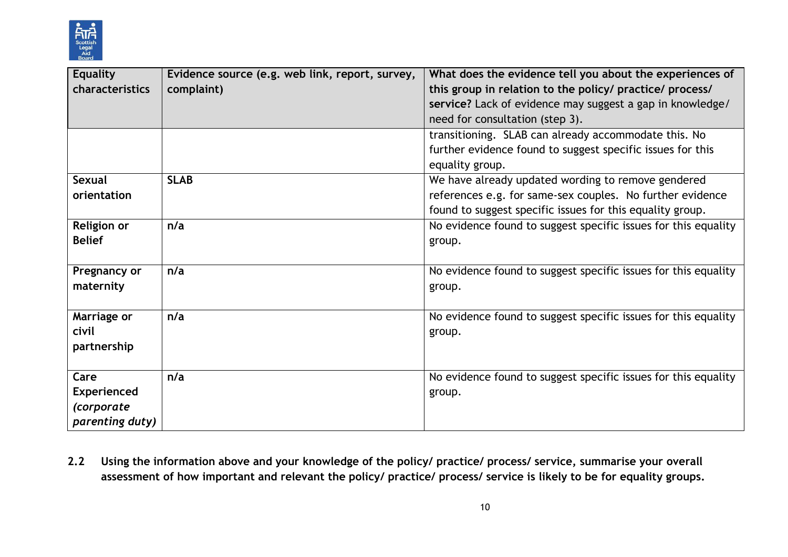

| <b>Equality</b>    | Evidence source (e.g. web link, report, survey, | What does the evidence tell you about the experiences of       |
|--------------------|-------------------------------------------------|----------------------------------------------------------------|
| characteristics    | complaint)                                      | this group in relation to the policy/ practice/ process/       |
|                    |                                                 | service? Lack of evidence may suggest a gap in knowledge/      |
|                    |                                                 | need for consultation (step 3).                                |
|                    |                                                 | transitioning. SLAB can already accommodate this. No           |
|                    |                                                 | further evidence found to suggest specific issues for this     |
|                    |                                                 | equality group.                                                |
| Sexual             | <b>SLAB</b>                                     | We have already updated wording to remove gendered             |
| orientation        |                                                 | references e.g. for same-sex couples. No further evidence      |
|                    |                                                 | found to suggest specific issues for this equality group.      |
| <b>Religion or</b> | n/a                                             | No evidence found to suggest specific issues for this equality |
| <b>Belief</b>      |                                                 | group.                                                         |
|                    |                                                 |                                                                |
| Pregnancy or       | n/a                                             | No evidence found to suggest specific issues for this equality |
| maternity          |                                                 | group.                                                         |
|                    |                                                 |                                                                |
| Marriage or        | n/a                                             | No evidence found to suggest specific issues for this equality |
| civil              |                                                 | group.                                                         |
| partnership        |                                                 |                                                                |
|                    |                                                 |                                                                |
| Care               | n/a                                             | No evidence found to suggest specific issues for this equality |
| <b>Experienced</b> |                                                 | group.                                                         |
| <i>(corporate</i>  |                                                 |                                                                |
| parenting duty)    |                                                 |                                                                |

**2.2 Using the information above and your knowledge of the policy/ practice/ process/ service, summarise your overall assessment of how important and relevant the policy/ practice/ process/ service is likely to be for equality groups.**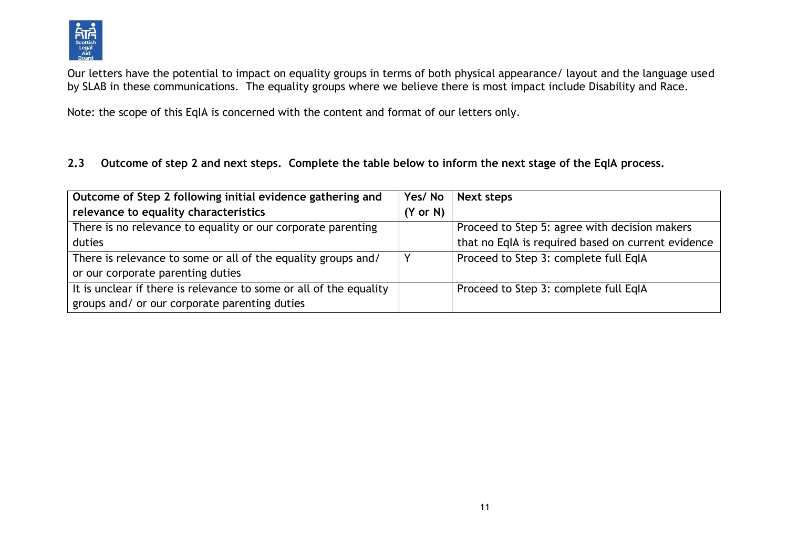

Our letters have the potential to impact on equality groups in terms of both physical appearance/ layout and the language used by SLAB in these communications. The equality groups where we believe there is most impact include Disability and Race.

Note: the scope of this EqIA is concerned with the content and format of our letters only.

#### **2.3 Outcome of step 2 and next steps. Complete the table below to inform the next stage of the EqIA process.**

| Outcome of Step 2 following initial evidence gathering and         | Yes/No              | Next steps                                         |
|--------------------------------------------------------------------|---------------------|----------------------------------------------------|
| relevance to equality characteristics                              | $(Y \text{ or } N)$ |                                                    |
| There is no relevance to equality or our corporate parenting       |                     | Proceed to Step 5: agree with decision makers      |
| duties                                                             |                     | that no EqIA is required based on current evidence |
| There is relevance to some or all of the equality groups and/      |                     | Proceed to Step 3: complete full EqIA              |
| or our corporate parenting duties                                  |                     |                                                    |
| It is unclear if there is relevance to some or all of the equality |                     | Proceed to Step 3: complete full EqIA              |
| groups and/ or our corporate parenting duties                      |                     |                                                    |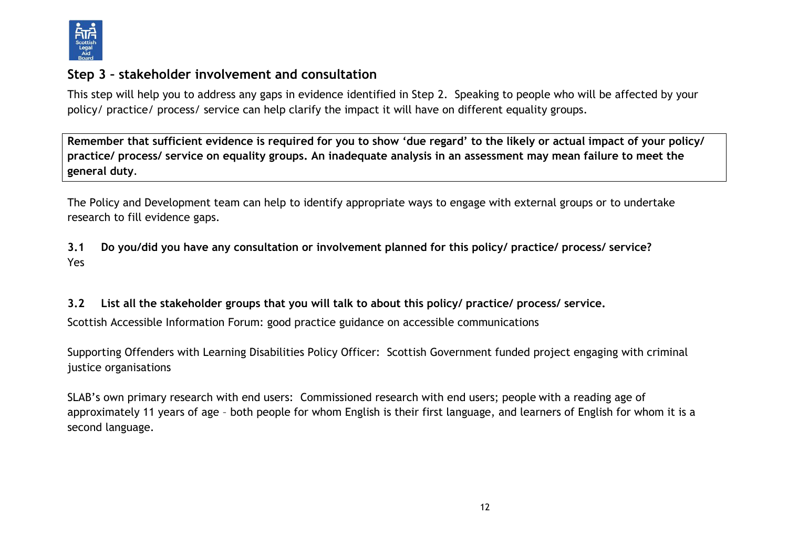

## **Step 3 – stakeholder involvement and consultation**

This step will help you to address any gaps in evidence identified in Step 2. Speaking to people who will be affected by your policy/ practice/ process/ service can help clarify the impact it will have on different equality groups.

**Remember that sufficient evidence is required for you to show 'due regard' to the likely or actual impact of your policy/ practice/ process/ service on equality groups. An inadequate analysis in an assessment may mean failure to meet the general duty**.

The Policy and Development team can help to identify appropriate ways to engage with external groups or to undertake research to fill evidence gaps.

**3.1 Do you/did you have any consultation or involvement planned for this policy/ practice/ process/ service?**  Yes

**3.2 List all the stakeholder groups that you will talk to about this policy/ practice/ process/ service.** 

Scottish Accessible Information Forum: good practice guidance on accessible communications

Supporting Offenders with Learning Disabilities Policy Officer: Scottish Government funded project engaging with criminal justice organisations

SLAB's own primary research with end users: Commissioned research with end users; people with a reading age of approximately 11 years of age – both people for whom English is their first language, and learners of English for whom it is a second language.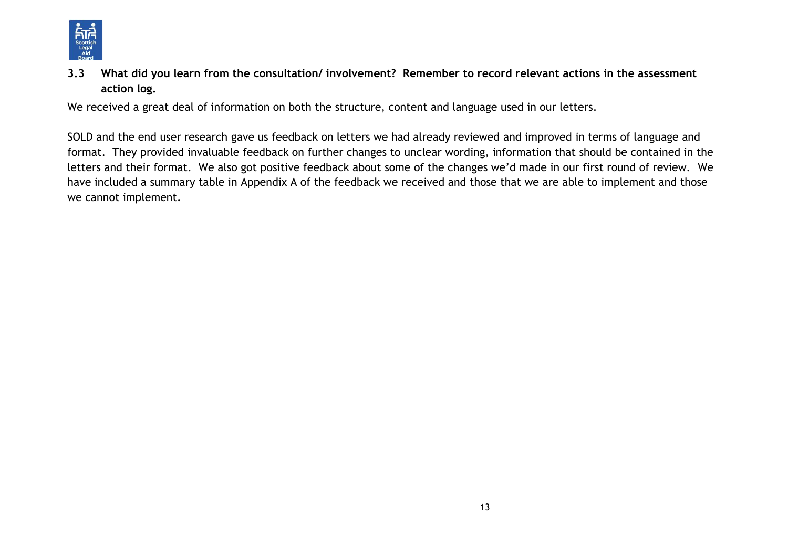

**3.3 What did you learn from the consultation/ involvement? Remember to record relevant actions in the assessment action log.**

We received a great deal of information on both the structure, content and language used in our letters.

SOLD and the end user research gave us feedback on letters we had already reviewed and improved in terms of language and format. They provided invaluable feedback on further changes to unclear wording, information that should be contained in the letters and their format. We also got positive feedback about some of the changes we'd made in our first round of review. We have included a summary table in Appendix A of the feedback we received and those that we are able to implement and those we cannot implement.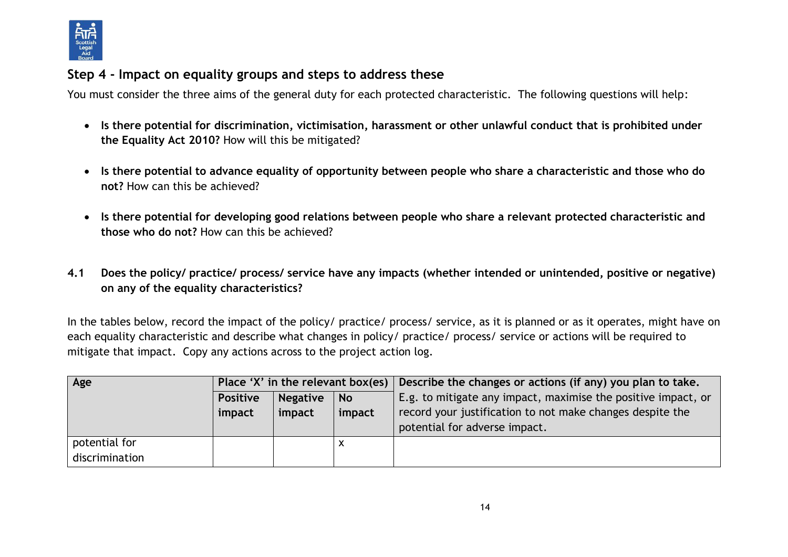

## **Step 4 - Impact on equality groups and steps to address these**

You must consider the three aims of the general duty for each protected characteristic. The following questions will help:

- **Is there potential for discrimination, victimisation, harassment or other unlawful conduct that is prohibited under the Equality Act 2010?** How will this be mitigated?
- **Is there potential to advance equality of opportunity between people who share a characteristic and those who do not?** How can this be achieved?
- **Is there potential for developing good relations between people who share a relevant protected characteristic and those who do not?** How can this be achieved?
- **4.1 Does the policy/ practice/ process/ service have any impacts (whether intended or unintended, positive or negative) on any of the equality characteristics?**

In the tables below, record the impact of the policy/ practice/ process/ service, as it is planned or as it operates, might have on each equality characteristic and describe what changes in policy/ practice/ process/ service or actions will be required to mitigate that impact. Copy any actions across to the project action log.

| Age            |                                                 |        |        | Place 'X' in the relevant box(es) Describe the changes or actions (if any) you plan to take. |
|----------------|-------------------------------------------------|--------|--------|----------------------------------------------------------------------------------------------|
|                | <b>Negative</b><br><b>Positive</b><br><b>No</b> |        |        | E.g. to mitigate any impact, maximise the positive impact, or                                |
|                | impact                                          | impact | impact | record your justification to not make changes despite the                                    |
|                |                                                 |        |        | potential for adverse impact.                                                                |
| potential for  |                                                 |        | x      |                                                                                              |
| discrimination |                                                 |        |        |                                                                                              |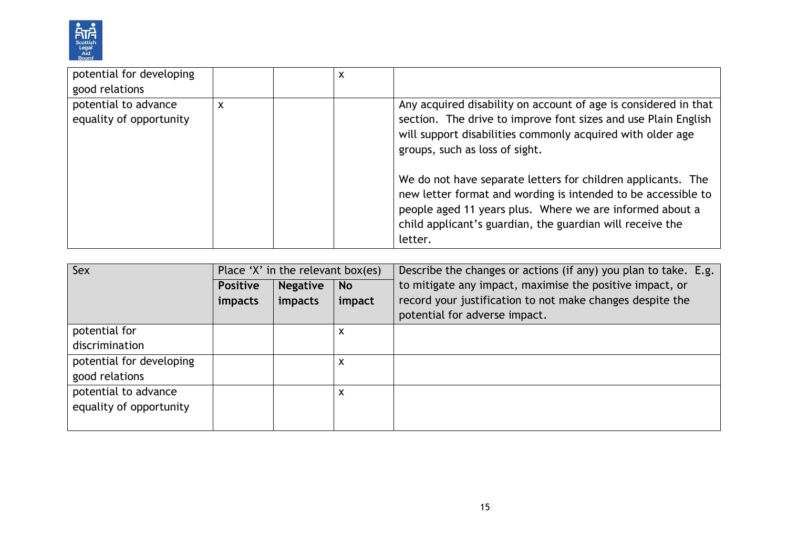

| potential for developing                        |   | x |                                                                                                                                                                                                                                                                   |
|-------------------------------------------------|---|---|-------------------------------------------------------------------------------------------------------------------------------------------------------------------------------------------------------------------------------------------------------------------|
| good relations                                  |   |   |                                                                                                                                                                                                                                                                   |
| potential to advance<br>equality of opportunity | X |   | Any acquired disability on account of age is considered in that<br>section. The drive to improve font sizes and use Plain English<br>will support disabilities commonly acquired with older age<br>groups, such as loss of sight.                                 |
|                                                 |   |   | We do not have separate letters for children applicants. The<br>new letter format and wording is intended to be accessible to<br>people aged 11 years plus. Where we are informed about a<br>child applicant's guardian, the guardian will receive the<br>letter. |

| Sex                      | Place 'X' in the relevant box(es) |                 |           | Describe the changes or actions (if any) you plan to take. E.g. |
|--------------------------|-----------------------------------|-----------------|-----------|-----------------------------------------------------------------|
|                          | <b>Positive</b>                   | <b>Negative</b> | <b>No</b> | to mitigate any impact, maximise the positive impact, or        |
|                          | impacts                           | <i>impacts</i>  | impact    | record your justification to not make changes despite the       |
|                          |                                   |                 |           | potential for adverse impact.                                   |
| potential for            |                                   |                 | х         |                                                                 |
| discrimination           |                                   |                 |           |                                                                 |
| potential for developing |                                   |                 | х         |                                                                 |
| good relations           |                                   |                 |           |                                                                 |
| potential to advance     |                                   |                 | x         |                                                                 |
| equality of opportunity  |                                   |                 |           |                                                                 |
|                          |                                   |                 |           |                                                                 |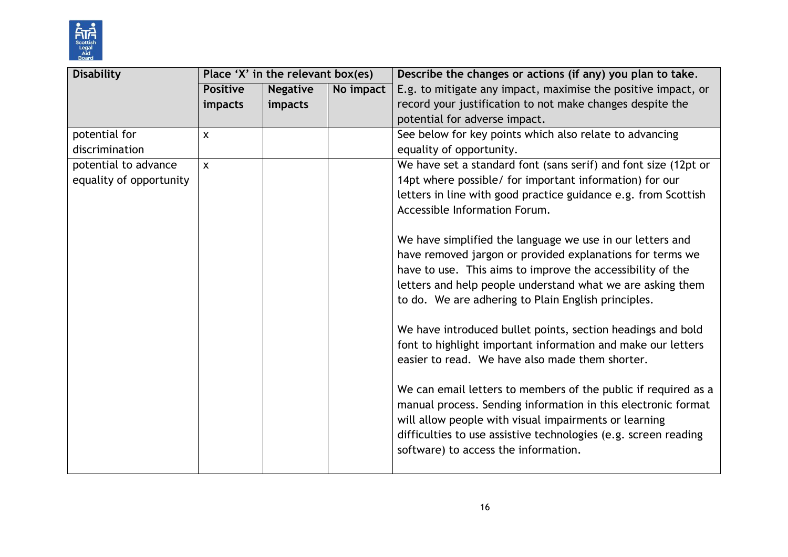

| <b>Disability</b>       |                 | Place 'X' in the relevant box(es) |           | Describe the changes or actions (if any) you plan to take.      |
|-------------------------|-----------------|-----------------------------------|-----------|-----------------------------------------------------------------|
|                         | <b>Positive</b> | <b>Negative</b>                   | No impact | E.g. to mitigate any impact, maximise the positive impact, or   |
|                         | impacts         | impacts                           |           | record your justification to not make changes despite the       |
|                         |                 |                                   |           | potential for adverse impact.                                   |
| potential for           | $\mathsf{X}$    |                                   |           | See below for key points which also relate to advancing         |
| discrimination          |                 |                                   |           | equality of opportunity.                                        |
| potential to advance    | $\mathsf{x}$    |                                   |           | We have set a standard font (sans serif) and font size (12pt or |
| equality of opportunity |                 |                                   |           | 14pt where possible/ for important information) for our         |
|                         |                 |                                   |           | letters in line with good practice guidance e.g. from Scottish  |
|                         |                 |                                   |           | Accessible Information Forum.                                   |
|                         |                 |                                   |           |                                                                 |
|                         |                 |                                   |           | We have simplified the language we use in our letters and       |
|                         |                 |                                   |           | have removed jargon or provided explanations for terms we       |
|                         |                 |                                   |           | have to use. This aims to improve the accessibility of the      |
|                         |                 |                                   |           | letters and help people understand what we are asking them      |
|                         |                 |                                   |           | to do. We are adhering to Plain English principles.             |
|                         |                 |                                   |           |                                                                 |
|                         |                 |                                   |           | We have introduced bullet points, section headings and bold     |
|                         |                 |                                   |           | font to highlight important information and make our letters    |
|                         |                 |                                   |           | easier to read. We have also made them shorter.                 |
|                         |                 |                                   |           |                                                                 |
|                         |                 |                                   |           | We can email letters to members of the public if required as a  |
|                         |                 |                                   |           | manual process. Sending information in this electronic format   |
|                         |                 |                                   |           | will allow people with visual impairments or learning           |
|                         |                 |                                   |           | difficulties to use assistive technologies (e.g. screen reading |
|                         |                 |                                   |           | software) to access the information.                            |
|                         |                 |                                   |           |                                                                 |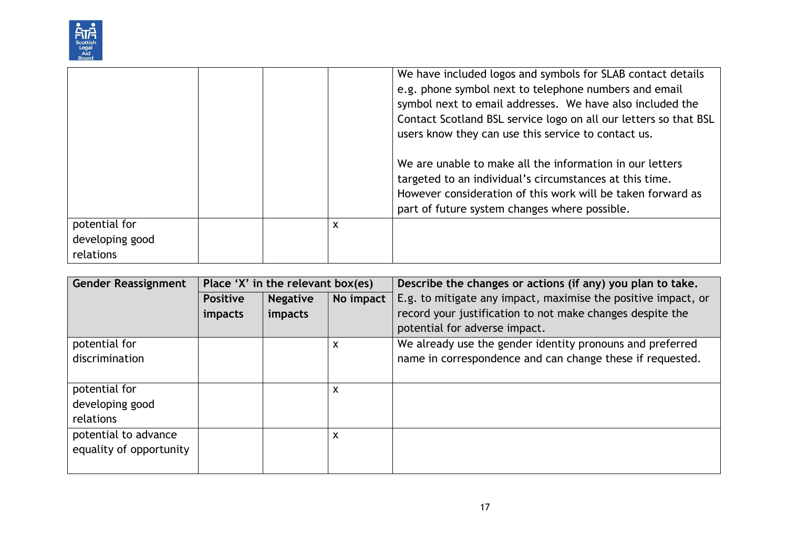

|                                               |  |   | We have included logos and symbols for SLAB contact details<br>e.g. phone symbol next to telephone numbers and email<br>symbol next to email addresses. We have also included the<br>Contact Scotland BSL service logo on all our letters so that BSL<br>users know they can use this service to contact us.<br>We are unable to make all the information in our letters<br>targeted to an individual's circumstances at this time.<br>However consideration of this work will be taken forward as |
|-----------------------------------------------|--|---|----------------------------------------------------------------------------------------------------------------------------------------------------------------------------------------------------------------------------------------------------------------------------------------------------------------------------------------------------------------------------------------------------------------------------------------------------------------------------------------------------|
|                                               |  |   |                                                                                                                                                                                                                                                                                                                                                                                                                                                                                                    |
|                                               |  |   |                                                                                                                                                                                                                                                                                                                                                                                                                                                                                                    |
|                                               |  |   |                                                                                                                                                                                                                                                                                                                                                                                                                                                                                                    |
| potential for<br>developing good<br>relations |  | X | part of future system changes where possible.                                                                                                                                                                                                                                                                                                                                                                                                                                                      |

| <b>Gender Reassignment</b> | Place 'X' in the relevant box(es) |                 |           | Describe the changes or actions (if any) you plan to take.    |  |
|----------------------------|-----------------------------------|-----------------|-----------|---------------------------------------------------------------|--|
|                            | <b>Positive</b>                   | <b>Negative</b> | No impact | E.g. to mitigate any impact, maximise the positive impact, or |  |
|                            | impacts                           | impacts         |           | record your justification to not make changes despite the     |  |
|                            |                                   |                 |           | potential for adverse impact.                                 |  |
| potential for              |                                   |                 | X         | We already use the gender identity pronouns and preferred     |  |
| discrimination             |                                   |                 |           | name in correspondence and can change these if requested.     |  |
|                            |                                   |                 |           |                                                               |  |
| potential for              |                                   |                 | X         |                                                               |  |
| developing good            |                                   |                 |           |                                                               |  |
| relations                  |                                   |                 |           |                                                               |  |
| potential to advance       |                                   |                 | X         |                                                               |  |
| equality of opportunity    |                                   |                 |           |                                                               |  |
|                            |                                   |                 |           |                                                               |  |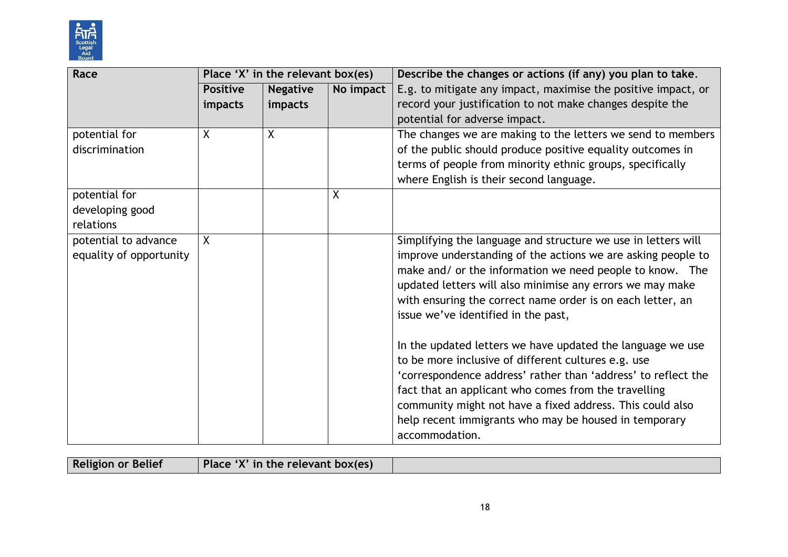

| Race                                            |                 | Place 'X' in the relevant box(es) |   | Describe the changes or actions (if any) you plan to take.                                                                                                                                                                                                                                                                                                                                                                                                                                                                                                                                                                                                                                                                                        |
|-------------------------------------------------|-----------------|-----------------------------------|---|---------------------------------------------------------------------------------------------------------------------------------------------------------------------------------------------------------------------------------------------------------------------------------------------------------------------------------------------------------------------------------------------------------------------------------------------------------------------------------------------------------------------------------------------------------------------------------------------------------------------------------------------------------------------------------------------------------------------------------------------------|
|                                                 | <b>Positive</b> | <b>Negative</b><br>No impact      |   | E.g. to mitigate any impact, maximise the positive impact, or                                                                                                                                                                                                                                                                                                                                                                                                                                                                                                                                                                                                                                                                                     |
|                                                 | impacts         | impacts                           |   | record your justification to not make changes despite the                                                                                                                                                                                                                                                                                                                                                                                                                                                                                                                                                                                                                                                                                         |
|                                                 |                 |                                   |   | potential for adverse impact.                                                                                                                                                                                                                                                                                                                                                                                                                                                                                                                                                                                                                                                                                                                     |
| potential for                                   | X               | X                                 |   | The changes we are making to the letters we send to members                                                                                                                                                                                                                                                                                                                                                                                                                                                                                                                                                                                                                                                                                       |
| discrimination                                  |                 |                                   |   | of the public should produce positive equality outcomes in                                                                                                                                                                                                                                                                                                                                                                                                                                                                                                                                                                                                                                                                                        |
|                                                 |                 |                                   |   | terms of people from minority ethnic groups, specifically                                                                                                                                                                                                                                                                                                                                                                                                                                                                                                                                                                                                                                                                                         |
|                                                 |                 |                                   |   | where English is their second language.                                                                                                                                                                                                                                                                                                                                                                                                                                                                                                                                                                                                                                                                                                           |
| potential for                                   |                 |                                   | X |                                                                                                                                                                                                                                                                                                                                                                                                                                                                                                                                                                                                                                                                                                                                                   |
| developing good                                 |                 |                                   |   |                                                                                                                                                                                                                                                                                                                                                                                                                                                                                                                                                                                                                                                                                                                                                   |
| relations                                       |                 |                                   |   |                                                                                                                                                                                                                                                                                                                                                                                                                                                                                                                                                                                                                                                                                                                                                   |
| potential to advance<br>equality of opportunity | Χ               |                                   |   | Simplifying the language and structure we use in letters will<br>improve understanding of the actions we are asking people to<br>make and/ or the information we need people to know. The<br>updated letters will also minimise any errors we may make<br>with ensuring the correct name order is on each letter, an<br>issue we've identified in the past,<br>In the updated letters we have updated the language we use<br>to be more inclusive of different cultures e.g. use<br>'correspondence address' rather than 'address' to reflect the<br>fact that an applicant who comes from the travelling<br>community might not have a fixed address. This could also<br>help recent immigrants who may be housed in temporary<br>accommodation. |

| Place 'X' in the relevant box(es)<br><b>Religion or Belief</b> |
|----------------------------------------------------------------|
|----------------------------------------------------------------|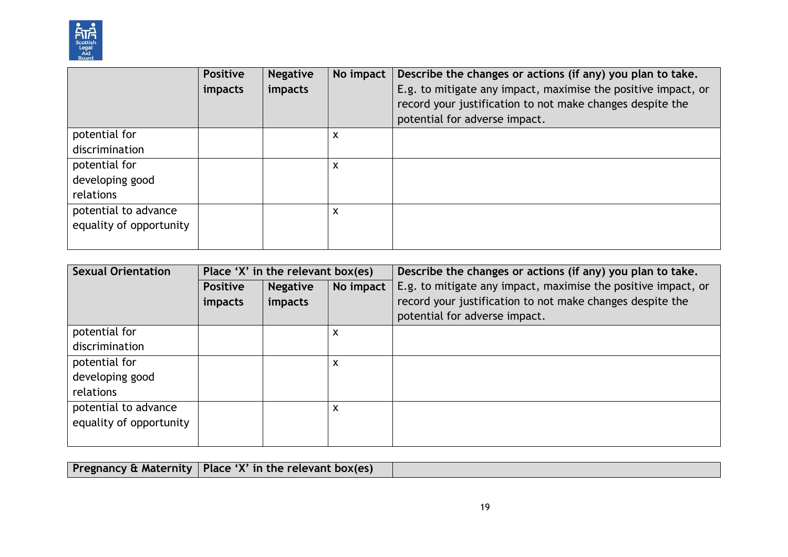

|                         | <b>Positive</b><br>impacts | <b>Negative</b><br>impacts | No impact | Describe the changes or actions (if any) you plan to take.<br>E.g. to mitigate any impact, maximise the positive impact, or<br>record your justification to not make changes despite the<br>potential for adverse impact. |
|-------------------------|----------------------------|----------------------------|-----------|---------------------------------------------------------------------------------------------------------------------------------------------------------------------------------------------------------------------------|
| potential for           |                            |                            | X         |                                                                                                                                                                                                                           |
| discrimination          |                            |                            |           |                                                                                                                                                                                                                           |
| potential for           |                            |                            | X         |                                                                                                                                                                                                                           |
| developing good         |                            |                            |           |                                                                                                                                                                                                                           |
| relations               |                            |                            |           |                                                                                                                                                                                                                           |
| potential to advance    |                            |                            | X         |                                                                                                                                                                                                                           |
| equality of opportunity |                            |                            |           |                                                                                                                                                                                                                           |
|                         |                            |                            |           |                                                                                                                                                                                                                           |

| <b>Sexual Orientation</b> | Place 'X' in the relevant box(es) |                 |           | Describe the changes or actions (if any) you plan to take.    |  |
|---------------------------|-----------------------------------|-----------------|-----------|---------------------------------------------------------------|--|
|                           | <b>Positive</b>                   | <b>Negative</b> | No impact | E.g. to mitigate any impact, maximise the positive impact, or |  |
|                           | impacts                           | impacts         |           | record your justification to not make changes despite the     |  |
|                           |                                   |                 |           | potential for adverse impact.                                 |  |
| potential for             |                                   |                 | X         |                                                               |  |
| discrimination            |                                   |                 |           |                                                               |  |
| potential for             |                                   |                 | X         |                                                               |  |
| developing good           |                                   |                 |           |                                                               |  |
| relations                 |                                   |                 |           |                                                               |  |
| potential to advance      |                                   |                 | X         |                                                               |  |
| equality of opportunity   |                                   |                 |           |                                                               |  |
|                           |                                   |                 |           |                                                               |  |

| Pregnancy & Maternity   Place 'X' in the relevant box(es) |  |  |
|-----------------------------------------------------------|--|--|
|                                                           |  |  |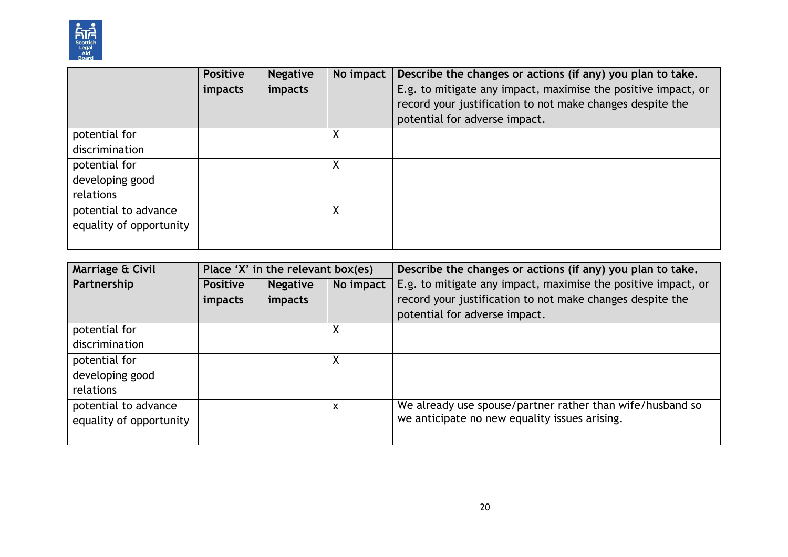

|                         | <b>Positive</b><br>impacts | <b>Negative</b><br>impacts | No impact | Describe the changes or actions (if any) you plan to take.<br>E.g. to mitigate any impact, maximise the positive impact, or<br>record your justification to not make changes despite the<br>potential for adverse impact. |
|-------------------------|----------------------------|----------------------------|-----------|---------------------------------------------------------------------------------------------------------------------------------------------------------------------------------------------------------------------------|
| potential for           |                            |                            | Χ         |                                                                                                                                                                                                                           |
| discrimination          |                            |                            |           |                                                                                                                                                                                                                           |
| potential for           |                            |                            | Χ         |                                                                                                                                                                                                                           |
| developing good         |                            |                            |           |                                                                                                                                                                                                                           |
| relations               |                            |                            |           |                                                                                                                                                                                                                           |
| potential to advance    |                            |                            | Χ         |                                                                                                                                                                                                                           |
| equality of opportunity |                            |                            |           |                                                                                                                                                                                                                           |
|                         |                            |                            |           |                                                                                                                                                                                                                           |

| Marriage & Civil                                | Place 'X' in the relevant box(es) |                            |           | Describe the changes or actions (if any) you plan to take.                                                                                                  |  |
|-------------------------------------------------|-----------------------------------|----------------------------|-----------|-------------------------------------------------------------------------------------------------------------------------------------------------------------|--|
| Partnership                                     | <b>Positive</b><br>impacts        | <b>Negative</b><br>impacts | No impact | E.g. to mitigate any impact, maximise the positive impact, or<br>record your justification to not make changes despite the<br>potential for adverse impact. |  |
| potential for<br>discrimination                 |                                   |                            | ∧         |                                                                                                                                                             |  |
| potential for<br>developing good<br>relations   |                                   |                            |           |                                                                                                                                                             |  |
| potential to advance<br>equality of opportunity |                                   |                            | X         | We already use spouse/partner rather than wife/husband so<br>we anticipate no new equality issues arising.                                                  |  |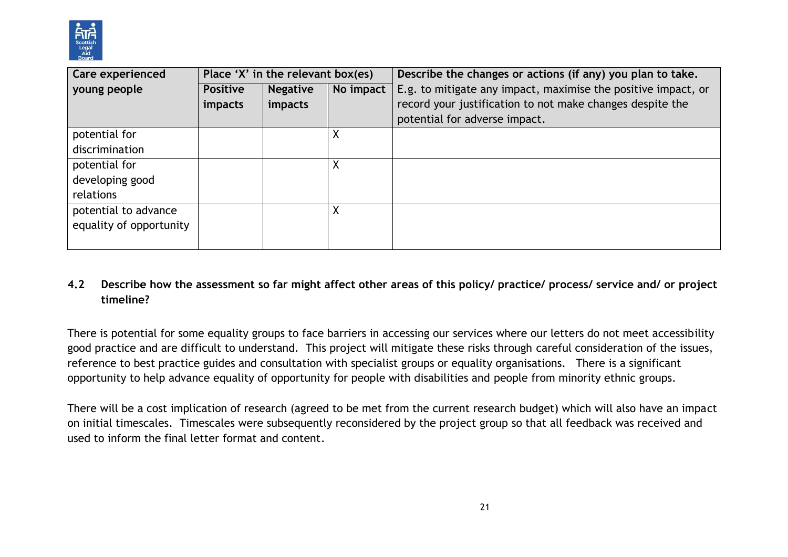

| Care experienced        | Place 'X' in the relevant box(es) |                 |           | Describe the changes or actions (if any) you plan to take.    |  |
|-------------------------|-----------------------------------|-----------------|-----------|---------------------------------------------------------------|--|
| young people            | <b>Positive</b>                   | <b>Negative</b> | No impact | E.g. to mitigate any impact, maximise the positive impact, or |  |
|                         | <i>impacts</i>                    | impacts         |           | record your justification to not make changes despite the     |  |
|                         |                                   |                 |           | potential for adverse impact.                                 |  |
| potential for           |                                   |                 | Χ         |                                                               |  |
| discrimination          |                                   |                 |           |                                                               |  |
| potential for           |                                   |                 | Χ         |                                                               |  |
| developing good         |                                   |                 |           |                                                               |  |
| relations               |                                   |                 |           |                                                               |  |
| potential to advance    |                                   |                 | Χ         |                                                               |  |
| equality of opportunity |                                   |                 |           |                                                               |  |
|                         |                                   |                 |           |                                                               |  |

### **4.2 Describe how the assessment so far might affect other areas of this policy/ practice/ process/ service and/ or project timeline?**

There is potential for some equality groups to face barriers in accessing our services where our letters do not meet accessibility good practice and are difficult to understand. This project will mitigate these risks through careful consideration of the issues, reference to best practice guides and consultation with specialist groups or equality organisations. There is a significant opportunity to help advance equality of opportunity for people with disabilities and people from minority ethnic groups.

There will be a cost implication of research (agreed to be met from the current research budget) which will also have an impact on initial timescales. Timescales were subsequently reconsidered by the project group so that all feedback was received and used to inform the final letter format and content.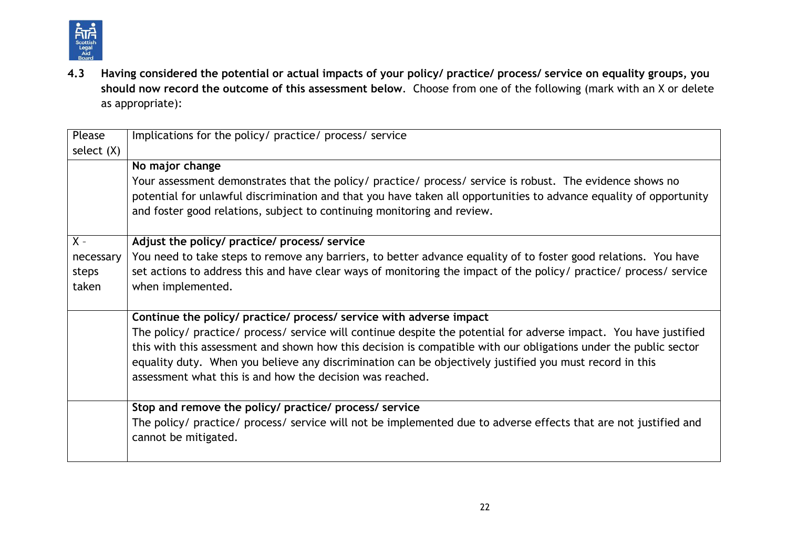

**4.3 Having considered the potential or actual impacts of your policy/ practice/ process/ service on equality groups, you should now record the outcome of this assessment below**. Choose from one of the following (mark with an X or delete as appropriate):

| Please       | Implications for the policy/ practice/ process/ service                                                                                                                                       |
|--------------|-----------------------------------------------------------------------------------------------------------------------------------------------------------------------------------------------|
| select $(X)$ |                                                                                                                                                                                               |
|              | No major change                                                                                                                                                                               |
|              | Your assessment demonstrates that the policy/ practice/ process/ service is robust. The evidence shows no                                                                                     |
|              | potential for unlawful discrimination and that you have taken all opportunities to advance equality of opportunity<br>and foster good relations, subject to continuing monitoring and review. |
|              |                                                                                                                                                                                               |
| $X -$        | Adjust the policy/ practice/ process/ service                                                                                                                                                 |
| necessary    | You need to take steps to remove any barriers, to better advance equality of to foster good relations. You have                                                                               |
| steps        | set actions to address this and have clear ways of monitoring the impact of the policy/ practice/ process/ service                                                                            |
| taken        | when implemented.                                                                                                                                                                             |
|              |                                                                                                                                                                                               |
|              | Continue the policy/ practice/ process/ service with adverse impact                                                                                                                           |
|              | The policy/ practice/ process/ service will continue despite the potential for adverse impact. You have justified                                                                             |
|              | this with this assessment and shown how this decision is compatible with our obligations under the public sector                                                                              |
|              | equality duty. When you believe any discrimination can be objectively justified you must record in this                                                                                       |
|              | assessment what this is and how the decision was reached.                                                                                                                                     |
|              |                                                                                                                                                                                               |
|              | Stop and remove the policy/ practice/ process/ service                                                                                                                                        |
|              | The policy/ practice/ process/ service will not be implemented due to adverse effects that are not justified and                                                                              |
|              | cannot be mitigated.                                                                                                                                                                          |
|              |                                                                                                                                                                                               |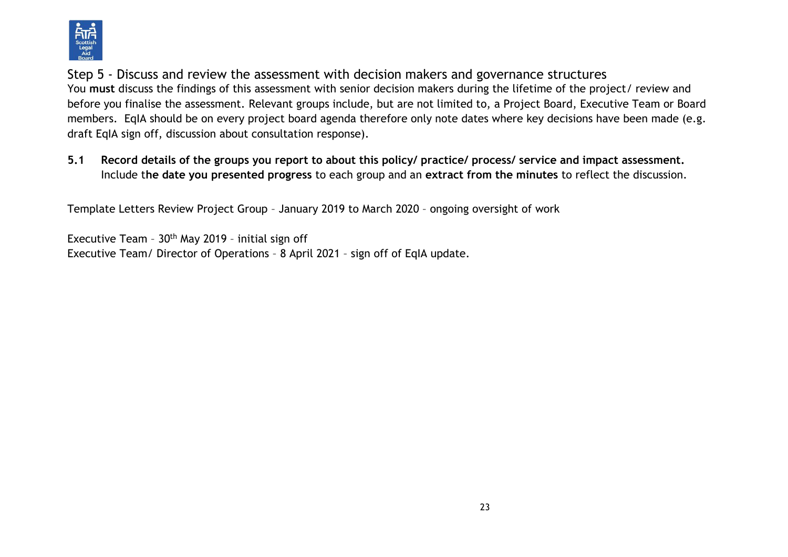

Step 5 - Discuss and review the assessment with decision makers and governance structures You **must** discuss the findings of this assessment with senior decision makers during the lifetime of the project/ review and before you finalise the assessment. Relevant groups include, but are not limited to, a Project Board, Executive Team or Board members. EqIA should be on every project board agenda therefore only note dates where key decisions have been made (e.g. draft EqIA sign off, discussion about consultation response).

**5.1 Record details of the groups you report to about this policy/ practice/ process/ service and impact assessment.**  Include t**he date you presented progress** to each group and an **extract from the minutes** to reflect the discussion.

Template Letters Review Project Group – January 2019 to March 2020 – ongoing oversight of work

Executive Team -  $30<sup>th</sup>$  May 2019 - initial sign off Executive Team/ Director of Operations – 8 April 2021 – sign off of EqIA update.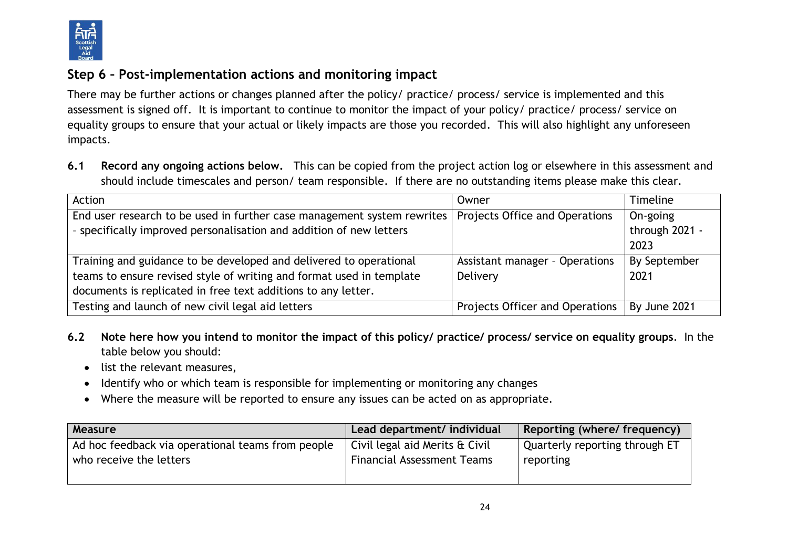

# **Step 6 – Post-implementation actions and monitoring impact**

There may be further actions or changes planned after the policy/ practice/ process/ service is implemented and this assessment is signed off. It is important to continue to monitor the impact of your policy/ practice/ process/ service on equality groups to ensure that your actual or likely impacts are those you recorded. This will also highlight any unforeseen impacts.

**6.1 Record any ongoing actions below.** This can be copied from the project action log or elsewhere in this assessment and should include timescales and person/ team responsible.If there are no outstanding items please make this clear.

| Action                                                                  | Owner                           | <b>Timeline</b> |
|-------------------------------------------------------------------------|---------------------------------|-----------------|
| End user research to be used in further case management system rewrites | Projects Office and Operations  | On-going        |
| - specifically improved personalisation and addition of new letters     |                                 | through 2021 -  |
|                                                                         |                                 | 2023            |
| Training and guidance to be developed and delivered to operational      | Assistant manager - Operations  | By September    |
| teams to ensure revised style of writing and format used in template    | Delivery                        | 2021            |
| documents is replicated in free text additions to any letter.           |                                 |                 |
| Testing and launch of new civil legal aid letters                       | Projects Officer and Operations | By June 2021    |

- **6.2 Note here how you intend to monitor the impact of this policy/ practice/ process/ service on equality groups**. In the table below you should:
	- list the relevant measures,
	- Identify who or which team is responsible for implementing or monitoring any changes
	- Where the measure will be reported to ensure any issues can be acted on as appropriate.

| Measure                                           | Lead department/ individual       | Reporting (where/ frequency)   |
|---------------------------------------------------|-----------------------------------|--------------------------------|
| Ad hoc feedback via operational teams from people | Civil legal aid Merits & Civil    | Quarterly reporting through ET |
| who receive the letters                           | <b>Financial Assessment Teams</b> | reporting                      |
|                                                   |                                   |                                |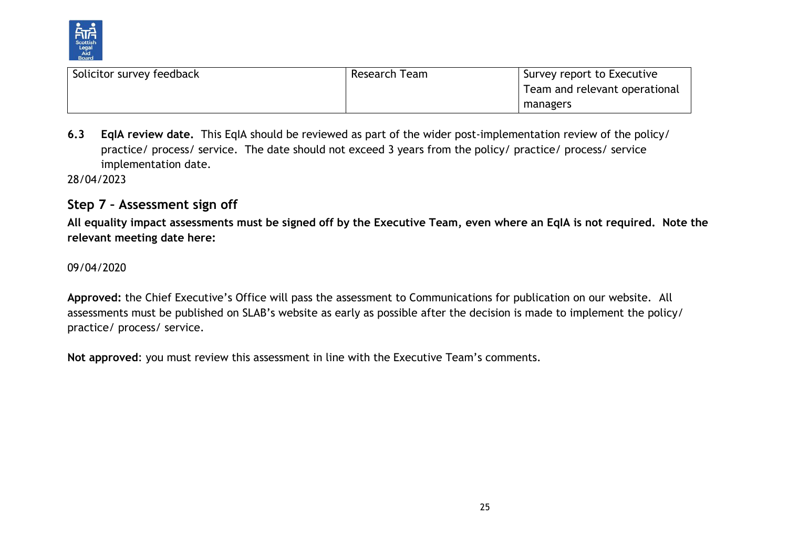

| Solicitor survey feedback | Research Team | Survey report to Executive    |
|---------------------------|---------------|-------------------------------|
|                           |               | Team and relevant operational |
|                           |               | managers                      |

**6.3 EqIA review date.** This EqIA should be reviewed as part of the wider post-implementation review of the policy/ practice/ process/ service. The date should not exceed 3 years from the policy/ practice/ process/ service implementation date.

28/04/2023

# **Step 7 – Assessment sign off**

**All equality impact assessments must be signed off by the Executive Team, even where an EqIA is not required. Note the relevant meeting date here:**

#### 09/04/2020

**Approved:** the Chief Executive's Office will pass the assessment to Communications for publication on our website. All assessments must be published on SLAB's website as early as possible after the decision is made to implement the policy/ practice/ process/ service.

**Not approved**: you must review this assessment in line with the Executive Team's comments.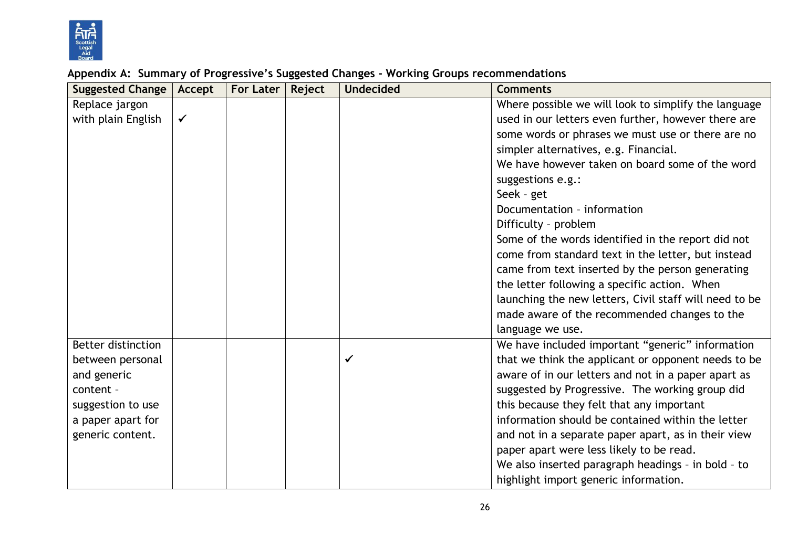

#### **Suggested Change Accept For Later Reject Undecided Comments** Replace jargon with plain English  $\mathcal{V}$ Where possible we will look to simplify the language used in our letters even further, however there are some words or phrases we must use or there are no simpler alternatives, e.g. Financial. We have however taken on board some of the word suggestions e.g.: Seek – get Documentation – information Difficulty – problem Some of the words identified in the report did not come from standard text in the letter, but instead came from text inserted by the person generating the letter following a specific action. When launching the new letters, Civil staff will need to be made aware of the recommended changes to the language we use. Better distinction between personal and generic content – suggestion to use a paper apart for generic content.  $\checkmark$ We have included important "generic" information that we think the applicant or opponent needs to be aware of in our letters and not in a paper apart as suggested by Progressive. The working group did this because they felt that any important information should be contained within the letter and not in a separate paper apart, as in their view paper apart were less likely to be read. We also inserted paragraph headings – in bold – to highlight import generic information.

### **Appendix A: Summary of Progressive's Suggested Changes - Working Groups recommendations**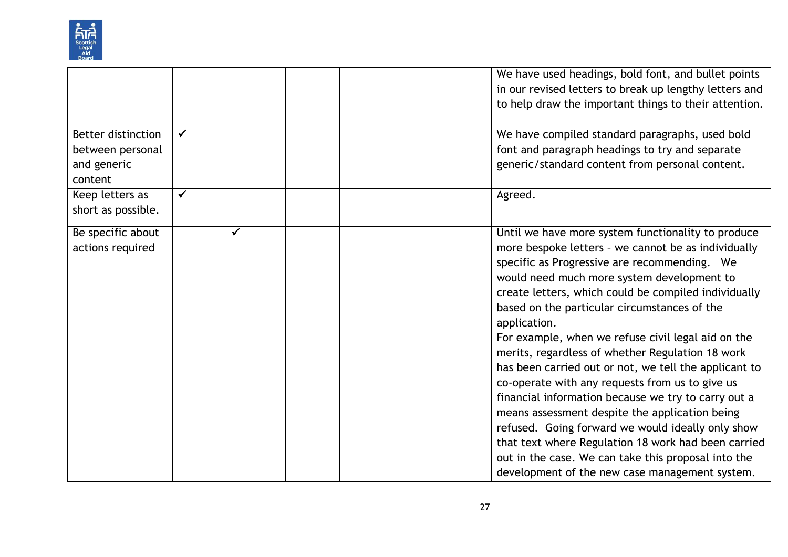

|                           |              |  | We have used headings, bold font, and bullet points    |
|---------------------------|--------------|--|--------------------------------------------------------|
|                           |              |  | in our revised letters to break up lengthy letters and |
|                           |              |  | to help draw the important things to their attention.  |
|                           |              |  |                                                        |
| <b>Better distinction</b> | $\checkmark$ |  | We have compiled standard paragraphs, used bold        |
| between personal          |              |  | font and paragraph headings to try and separate        |
| and generic               |              |  | generic/standard content from personal content.        |
| content                   |              |  |                                                        |
| Keep letters as           | $\checkmark$ |  | Agreed.                                                |
| short as possible.        |              |  |                                                        |
| Be specific about         |              |  | Until we have more system functionality to produce     |
| actions required          |              |  | more bespoke letters - we cannot be as individually    |
|                           |              |  | specific as Progressive are recommending. We           |
|                           |              |  | would need much more system development to             |
|                           |              |  | create letters, which could be compiled individually   |
|                           |              |  | based on the particular circumstances of the           |
|                           |              |  | application.                                           |
|                           |              |  | For example, when we refuse civil legal aid on the     |
|                           |              |  | merits, regardless of whether Regulation 18 work       |
|                           |              |  | has been carried out or not, we tell the applicant to  |
|                           |              |  | co-operate with any requests from us to give us        |
|                           |              |  | financial information because we try to carry out a    |
|                           |              |  | means assessment despite the application being         |
|                           |              |  | refused. Going forward we would ideally only show      |
|                           |              |  | that text where Regulation 18 work had been carried    |
|                           |              |  | out in the case. We can take this proposal into the    |
|                           |              |  | development of the new case management system.         |